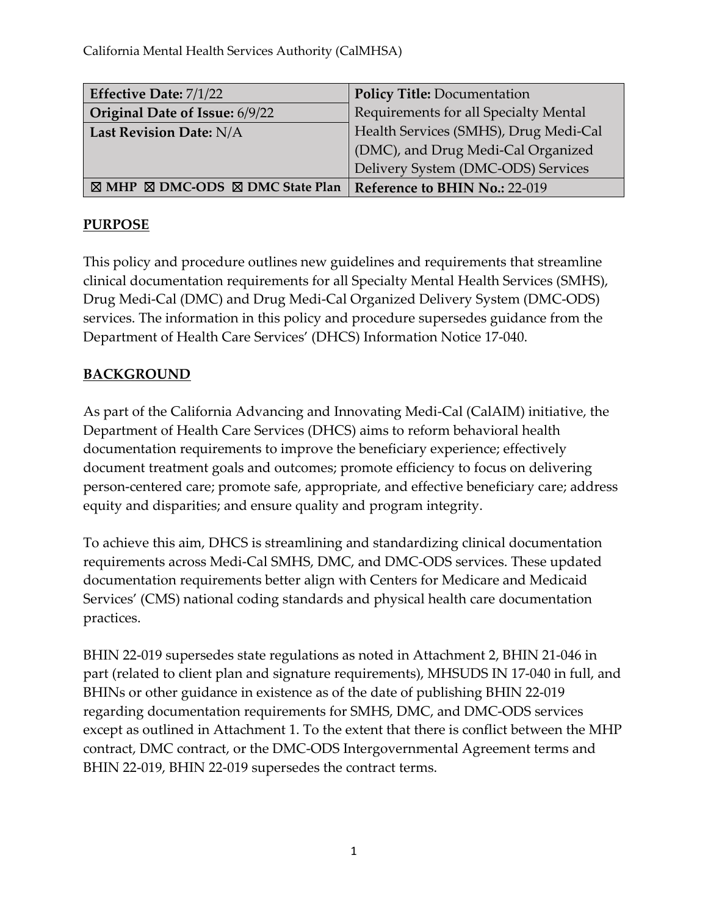California Mental Health Services Authority (CalMHSA)

| Effective Date: 7/1/22                                         | <b>Policy Title: Documentation</b>    |
|----------------------------------------------------------------|---------------------------------------|
| Original Date of Issue: 6/9/22                                 | Requirements for all Specialty Mental |
| Last Revision Date: N/A                                        | Health Services (SMHS), Drug Medi-Cal |
|                                                                | (DMC), and Drug Medi-Cal Organized    |
|                                                                | Delivery System (DMC-ODS) Services    |
| $\boxtimes$ MHP $\boxtimes$ DMC-ODS $\boxtimes$ DMC State Plan | Reference to BHIN No.: 22-019         |

#### **PURPOSE**

This policy and procedure outlines new guidelines and requirements that streamline clinical documentation requirements for all Specialty Mental Health Services (SMHS), Drug Medi-Cal (DMC) and Drug Medi-Cal Organized Delivery System (DMC-ODS) services. The information in this policy and procedure supersedes guidance from the Department of Health Care Services' (DHCS) Information Notice 17-040.

#### **BACKGROUND**

As part of the California Advancing and Innovating Medi-Cal (CalAIM) initiative, the Department of Health Care Services (DHCS) aims to reform behavioral health documentation requirements to improve the beneficiary experience; effectively document treatment goals and outcomes; promote efficiency to focus on delivering person-centered care; promote safe, appropriate, and effective beneficiary care; address equity and disparities; and ensure quality and program integrity.

To achieve this aim, DHCS is streamlining and standardizing clinical documentation requirements across Medi-Cal SMHS, DMC, and DMC-ODS services. These updated documentation requirements better align with Centers for Medicare and Medicaid Services' (CMS) national coding standards and physical health care documentation practices.

BHIN 22-019 supersedes state regulations as noted in Attachment 2, BHIN 21-046 in part (related to client plan and signature requirements), MHSUDS IN 17-040 in full, and BHINs or other guidance in existence as of the date of publishing BHIN 22-019 regarding documentation requirements for SMHS, DMC, and DMC-ODS services except as outlined in Attachment 1. To the extent that there is conflict between the MHP contract, DMC contract, or the DMC-ODS Intergovernmental Agreement terms and BHIN 22-019, BHIN 22-019 supersedes the contract terms.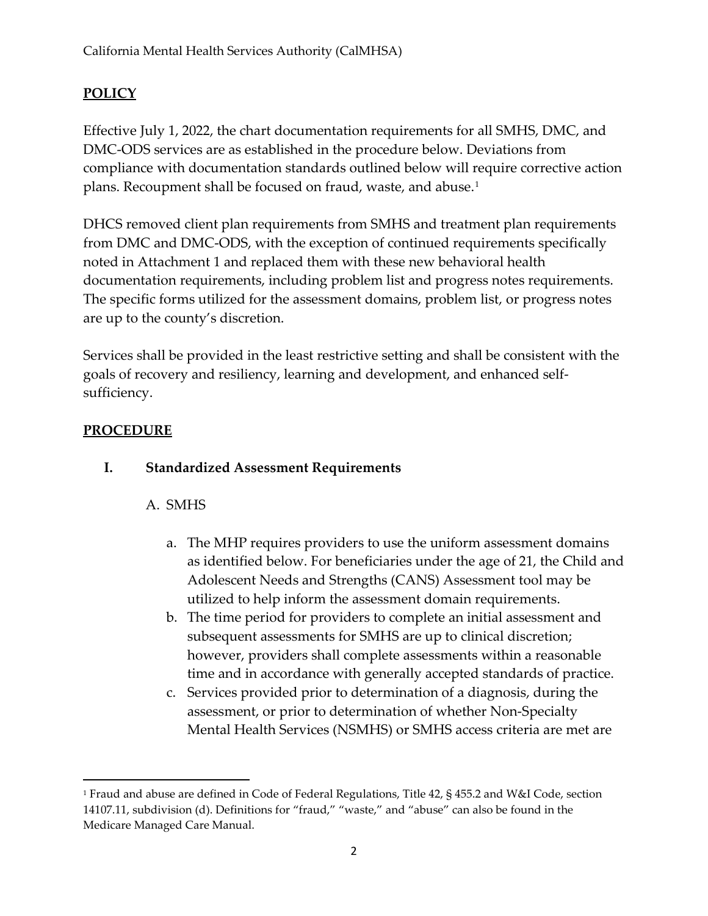## **POLICY**

Effective July 1, 2022, the chart documentation requirements for all SMHS, DMC, and DMC-ODS services are as established in the procedure below. Deviations from compliance with documentation standards outlined below will require corrective action plans. Recoupment shall be focused on fraud, waste, and abuse.<sup>[1](#page-1-0)</sup>

DHCS removed client plan requirements from SMHS and treatment plan requirements from DMC and DMC-ODS, with the exception of continued requirements specifically noted in Attachment 1 and replaced them with these new behavioral health documentation requirements, including problem list and progress notes requirements. The specific forms utilized for the assessment domains, problem list, or progress notes are up to the county's discretion.

Services shall be provided in the least restrictive setting and shall be consistent with the goals of recovery and resiliency, learning and development, and enhanced selfsufficiency.

#### **PROCEDURE**

#### **I. Standardized Assessment Requirements**

#### A. SMHS

- a. The MHP requires providers to use the uniform assessment domains as identified below. For beneficiaries under the age of 21, the Child and Adolescent Needs and Strengths (CANS) Assessment tool may be utilized to help inform the assessment domain requirements.
- b. The time period for providers to complete an initial assessment and subsequent assessments for SMHS are up to clinical discretion; however, providers shall complete assessments within a reasonable time and in accordance with generally accepted standards of practice.
- c. Services provided prior to determination of a diagnosis, during the assessment, or prior to determination of whether Non-Specialty Mental Health Services (NSMHS) or SMHS access criteria are met are

<span id="page-1-0"></span><sup>1</sup> Fraud and abuse are defined in Code of Federal Regulations, Title 42, § 455.2 and W&I Code, section 14107.11, subdivision (d). Definitions for "fraud," "waste," and "abuse" can also be found in the Medicare Managed Care Manual.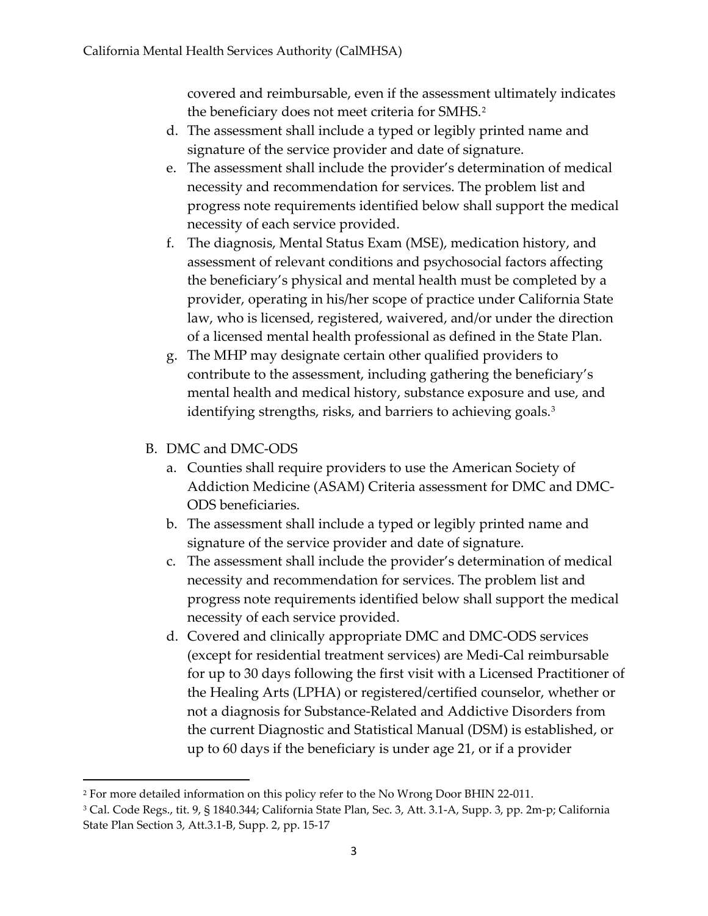covered and reimbursable, even if the assessment ultimately indicates the beneficiary does not meet criteria for SMHS.<sup>[2](#page-2-0)</sup>

- d. The assessment shall include a typed or legibly printed name and signature of the service provider and date of signature.
- e. The assessment shall include the provider's determination of medical necessity and recommendation for services. The problem list and progress note requirements identified below shall support the medical necessity of each service provided.
- f. The diagnosis, Mental Status Exam (MSE), medication history, and assessment of relevant conditions and psychosocial factors affecting the beneficiary's physical and mental health must be completed by a provider, operating in his/her scope of practice under California State law, who is licensed, registered, waivered, and/or under the direction of a licensed mental health professional as defined in the State Plan.
- g. The MHP may designate certain other qualified providers to contribute to the assessment, including gathering the beneficiary's mental health and medical history, substance exposure and use, and identifying strengths, risks, and barriers to achieving goals.<sup>[3](#page-2-1)</sup>
- B. DMC and DMC-ODS
	- a. Counties shall require providers to use the American Society of Addiction Medicine (ASAM) Criteria assessment for DMC and DMC-ODS beneficiaries.
	- b. The assessment shall include a typed or legibly printed name and signature of the service provider and date of signature.
	- c. The assessment shall include the provider's determination of medical necessity and recommendation for services. The problem list and progress note requirements identified below shall support the medical necessity of each service provided.
	- d. Covered and clinically appropriate DMC and DMC-ODS services (except for residential treatment services) are Medi-Cal reimbursable for up to 30 days following the first visit with a Licensed Practitioner of the Healing Arts (LPHA) or registered/certified counselor, whether or not a diagnosis for Substance-Related and Addictive Disorders from the current Diagnostic and Statistical Manual (DSM) is established, or up to 60 days if the beneficiary is under age 21, or if a provider

<span id="page-2-0"></span><sup>2</sup> For more detailed information on this policy refer to the No Wrong Door BHIN 22-011.

<span id="page-2-1"></span><sup>3</sup> Cal. Code Regs., tit. 9, § 1840.344; California State Plan, Sec. 3, Att. 3.1-A, Supp. 3, pp. 2m-p; California State Plan Section 3, Att.3.1-B, Supp. 2, pp. 15-17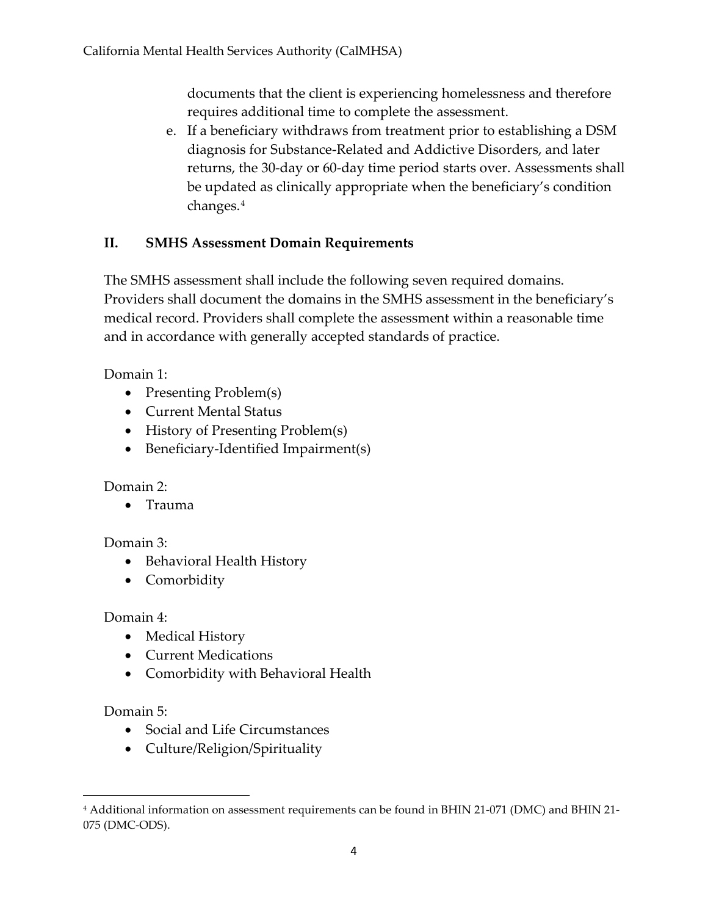documents that the client is experiencing homelessness and therefore requires additional time to complete the assessment.

e. If a beneficiary withdraws from treatment prior to establishing a DSM diagnosis for Substance-Related and Addictive Disorders, and later returns, the 30-day or 60-day time period starts over. Assessments shall be updated as clinically appropriate when the beneficiary's condition changes.[4](#page-3-0)

## **II. SMHS Assessment Domain Requirements**

The SMHS assessment shall include the following seven required domains. Providers shall document the domains in the SMHS assessment in the beneficiary's medical record. Providers shall complete the assessment within a reasonable time and in accordance with generally accepted standards of practice.

Domain 1:

- Presenting Problem(s)
- Current Mental Status
- History of Presenting Problem(s)
- Beneficiary-Identified Impairment(s)

#### Domain 2:

• Trauma

## Domain 3:

- Behavioral Health History
- Comorbidity

## Domain 4:

- Medical History
- Current Medications
- Comorbidity with Behavioral Health

## Domain 5:

- Social and Life Circumstances
- Culture/Religion/Spirituality

<span id="page-3-0"></span><sup>4</sup> Additional information on assessment requirements can be found in BHIN 21-071 (DMC) and BHIN 21- 075 (DMC-ODS).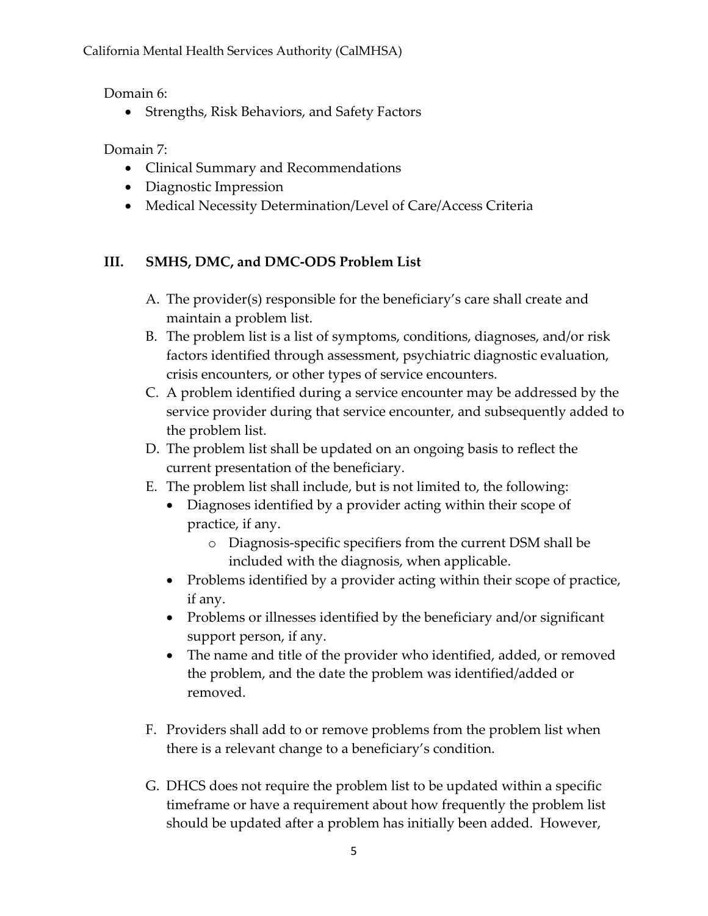Domain 6:

• Strengths, Risk Behaviors, and Safety Factors

Domain 7:

- Clinical Summary and Recommendations
- Diagnostic Impression
- Medical Necessity Determination/Level of Care/Access Criteria

# **III. SMHS, DMC, and DMC-ODS Problem List**

- A. The provider(s) responsible for the beneficiary's care shall create and maintain a problem list.
- B. The problem list is a list of symptoms, conditions, diagnoses, and/or risk factors identified through assessment, psychiatric diagnostic evaluation, crisis encounters, or other types of service encounters.
- C. A problem identified during a service encounter may be addressed by the service provider during that service encounter, and subsequently added to the problem list.
- D. The problem list shall be updated on an ongoing basis to reflect the current presentation of the beneficiary.
- E. The problem list shall include, but is not limited to, the following:
	- Diagnoses identified by a provider acting within their scope of practice, if any.
		- o Diagnosis-specific specifiers from the current DSM shall be included with the diagnosis, when applicable.
	- Problems identified by a provider acting within their scope of practice, if any.
	- Problems or illnesses identified by the beneficiary and/or significant support person, if any.
	- The name and title of the provider who identified, added, or removed the problem, and the date the problem was identified/added or removed.
- F. Providers shall add to or remove problems from the problem list when there is a relevant change to a beneficiary's condition.
- G. DHCS does not require the problem list to be updated within a specific timeframe or have a requirement about how frequently the problem list should be updated after a problem has initially been added. However,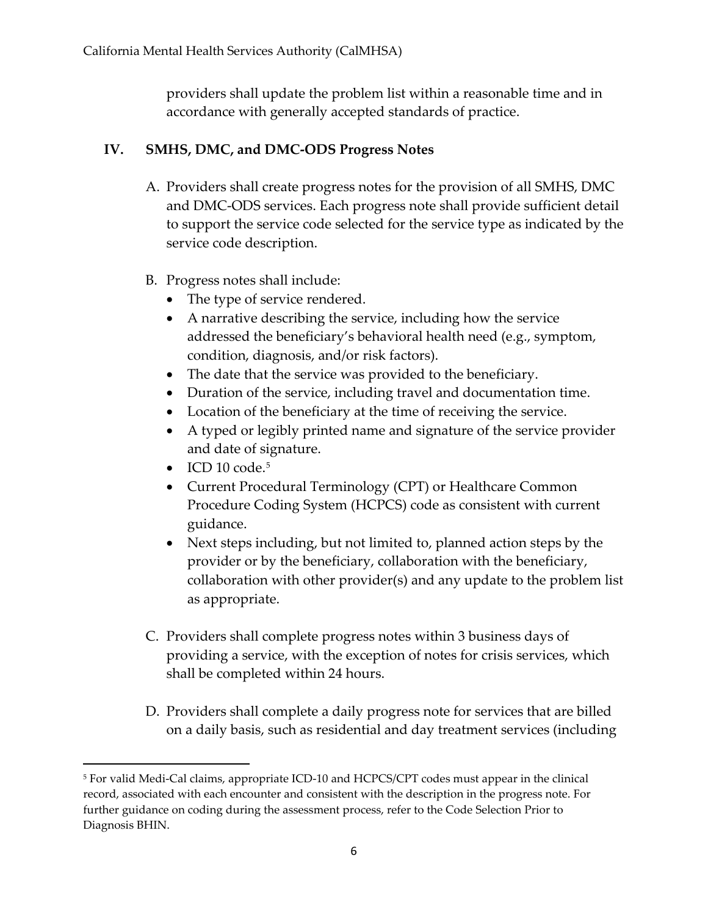providers shall update the problem list within a reasonable time and in accordance with generally accepted standards of practice.

## **IV. SMHS, DMC, and DMC-ODS Progress Notes**

- A. Providers shall create progress notes for the provision of all SMHS, DMC and DMC-ODS services. Each progress note shall provide sufficient detail to support the service code selected for the service type as indicated by the service code description.
- B. Progress notes shall include:
	- The type of service rendered.
	- A narrative describing the service, including how the service addressed the beneficiary's behavioral health need (e.g., symptom, condition, diagnosis, and/or risk factors).
	- The date that the service was provided to the beneficiary.
	- Duration of the service, including travel and documentation time.
	- Location of the beneficiary at the time of receiving the service.
	- A typed or legibly printed name and signature of the service provider and date of signature.
	- $\bullet$  ICD 10 code.<sup>[5](#page-5-0)</sup>
	- Current Procedural Terminology (CPT) or Healthcare Common Procedure Coding System (HCPCS) code as consistent with current guidance.
	- Next steps including, but not limited to, planned action steps by the provider or by the beneficiary, collaboration with the beneficiary, collaboration with other provider(s) and any update to the problem list as appropriate.
- C. Providers shall complete progress notes within 3 business days of providing a service, with the exception of notes for crisis services, which shall be completed within 24 hours.
- D. Providers shall complete a daily progress note for services that are billed on a daily basis, such as residential and day treatment services (including

<span id="page-5-0"></span><sup>5</sup> For valid Medi-Cal claims, appropriate ICD-10 and HCPCS/CPT codes must appear in the clinical record, associated with each encounter and consistent with the description in the progress note. For further guidance on coding during the assessment process, refer to the Code Selection Prior to Diagnosis BHIN.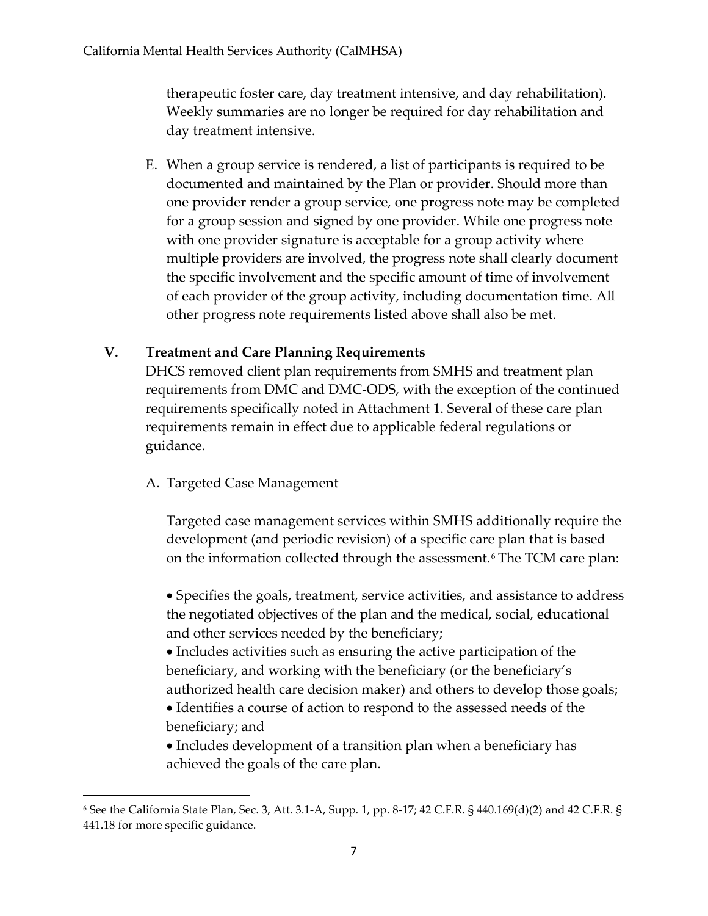therapeutic foster care, day treatment intensive, and day rehabilitation). Weekly summaries are no longer be required for day rehabilitation and day treatment intensive.

E. When a group service is rendered, a list of participants is required to be documented and maintained by the Plan or provider. Should more than one provider render a group service, one progress note may be completed for a group session and signed by one provider. While one progress note with one provider signature is acceptable for a group activity where multiple providers are involved, the progress note shall clearly document the specific involvement and the specific amount of time of involvement of each provider of the group activity, including documentation time. All other progress note requirements listed above shall also be met.

## **V. Treatment and Care Planning Requirements**

DHCS removed client plan requirements from SMHS and treatment plan requirements from DMC and DMC-ODS, with the exception of the continued requirements specifically noted in Attachment 1. Several of these care plan requirements remain in effect due to applicable federal regulations or guidance.

#### A. Targeted Case Management

Targeted case management services within SMHS additionally require the development (and periodic revision) of a specific care plan that is based on the information collected through the assessment.<sup>[6](#page-6-0)</sup> The TCM care plan:

• Specifies the goals, treatment, service activities, and assistance to address the negotiated objectives of the plan and the medical, social, educational and other services needed by the beneficiary;

• Includes activities such as ensuring the active participation of the beneficiary, and working with the beneficiary (or the beneficiary's authorized health care decision maker) and others to develop those goals;

• Identifies a course of action to respond to the assessed needs of the beneficiary; and

• Includes development of a transition plan when a beneficiary has achieved the goals of the care plan.

<span id="page-6-0"></span><sup>6</sup> See the California State Plan, Sec. 3, Att. 3.1-A, Supp. 1, pp. 8-17; 42 C.F.R. § 440.169(d)(2) and 42 C.F.R. § 441.18 for more specific guidance.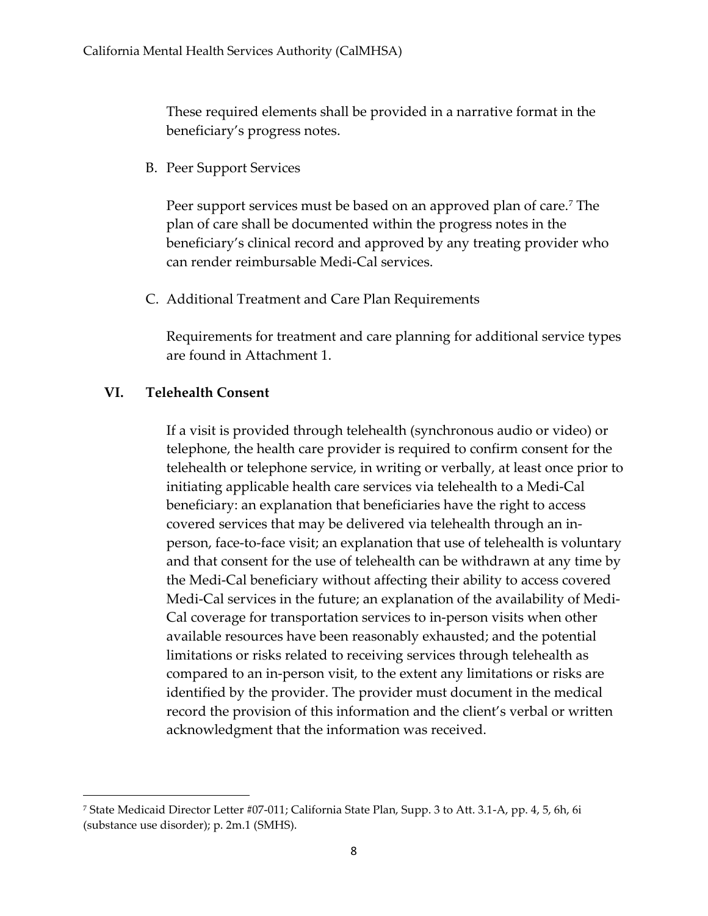These required elements shall be provided in a narrative format in the beneficiary's progress notes.

B. Peer Support Services

Peer support services must be based on an approved plan of care.<sup>[7](#page-7-0)</sup> The plan of care shall be documented within the progress notes in the beneficiary's clinical record and approved by any treating provider who can render reimbursable Medi-Cal services.

C. Additional Treatment and Care Plan Requirements

Requirements for treatment and care planning for additional service types are found in Attachment 1.

#### **VI. Telehealth Consent**

If a visit is provided through telehealth (synchronous audio or video) or telephone, the health care provider is required to confirm consent for the telehealth or telephone service, in writing or verbally, at least once prior to initiating applicable health care services via telehealth to a Medi-Cal beneficiary: an explanation that beneficiaries have the right to access covered services that may be delivered via telehealth through an inperson, face-to-face visit; an explanation that use of telehealth is voluntary and that consent for the use of telehealth can be withdrawn at any time by the Medi-Cal beneficiary without affecting their ability to access covered Medi-Cal services in the future; an explanation of the availability of Medi-Cal coverage for transportation services to in-person visits when other available resources have been reasonably exhausted; and the potential limitations or risks related to receiving services through telehealth as compared to an in-person visit, to the extent any limitations or risks are identified by the provider. The provider must document in the medical record the provision of this information and the client's verbal or written acknowledgment that the information was received.

<span id="page-7-0"></span><sup>7</sup> State Medicaid Director Letter #07-011; California State Plan, Supp. 3 to Att. 3.1-A, pp. 4, 5, 6h, 6i (substance use disorder); p. 2m.1 (SMHS).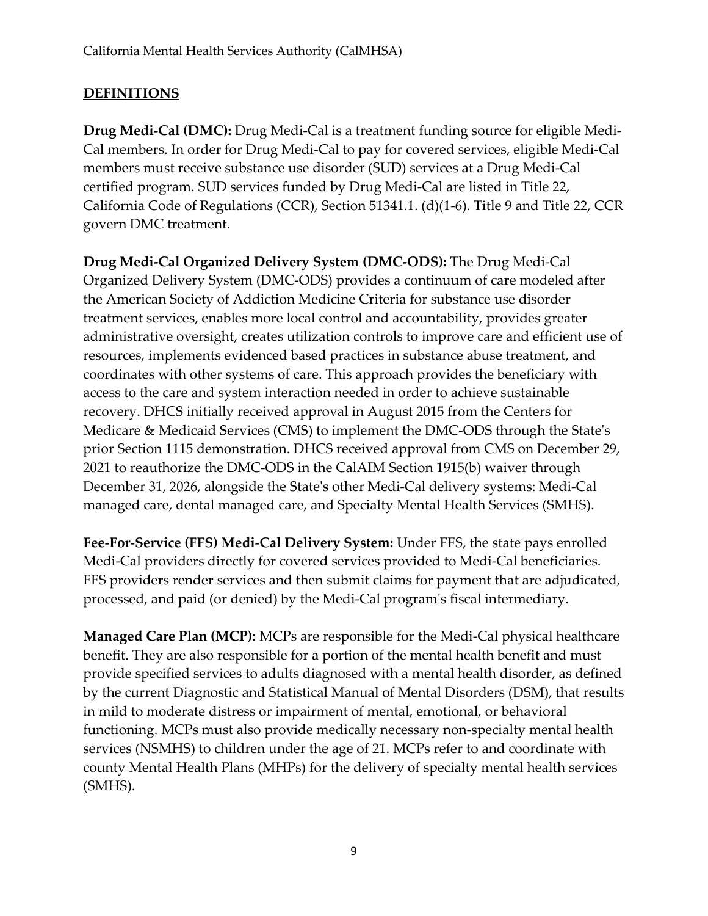## **DEFINITIONS**

**Drug Medi-Cal (DMC):** Drug Medi-Cal is a treatment funding source for eligible Medi-Cal members. In order for Drug Medi-Cal to pay for covered services, eligible Medi-Cal members must receive substance use disorder (SUD) services at a Drug Medi-Cal certified program. SUD services funded by Drug Medi-Cal are listed in Title 22, California Code of Regulations (CCR), Section 51341.1. (d)(1-6). Title 9 and Title 22, CCR govern DMC treatment.

**Drug Medi-Cal Organized Delivery System (DMC-ODS):** The Drug Medi-Cal Organized Delivery System (DMC-ODS) provides a continuum of care modeled after the American Society of Addiction Medicine Criteria for substance use disorder treatment services, enables more local control and accountability, provides greater administrative oversight, creates utilization controls to improve care and efficient use of resources, implements evidenced based practices in substance abuse treatment, and coordinates with other systems of care. This approach provides the beneficiary with access to the care and system interaction needed in order to achieve sustainable recovery. DHCS initially received approval in August 2015 from the Centers for Medicare & Medicaid Services (CMS) to implement the DMC-ODS through the State's prior Section 1115 demonstration. DHCS received approval from CMS on December 29, 2021 to reauthorize the DMC-ODS in the CalAIM Section 1915(b) waiver through December 31, 2026, alongside the State's other Medi-Cal delivery systems: Medi-Cal managed care, dental managed care, and Specialty Mental Health Services (SMHS).

**Fee-For-Service (FFS) Medi-Cal Delivery System:** Under FFS, the state pays enrolled Medi-Cal providers directly for covered services provided to Medi-Cal beneficiaries. FFS providers render services and then submit claims for payment that are adjudicated, processed, and paid (or denied) by the Medi-Cal program's fiscal intermediary.

**Managed Care Plan (MCP):** MCPs are responsible for the Medi-Cal physical healthcare benefit. They are also responsible for a portion of the mental health benefit and must provide specified services to adults diagnosed with a mental health disorder, as defined by the current Diagnostic and Statistical Manual of Mental Disorders (DSM), that results in mild to moderate distress or impairment of mental, emotional, or behavioral functioning. MCPs must also provide medically necessary non-specialty mental health services (NSMHS) to children under the age of 21. MCPs refer to and coordinate with county Mental Health Plans (MHPs) for the delivery of specialty mental health services (SMHS).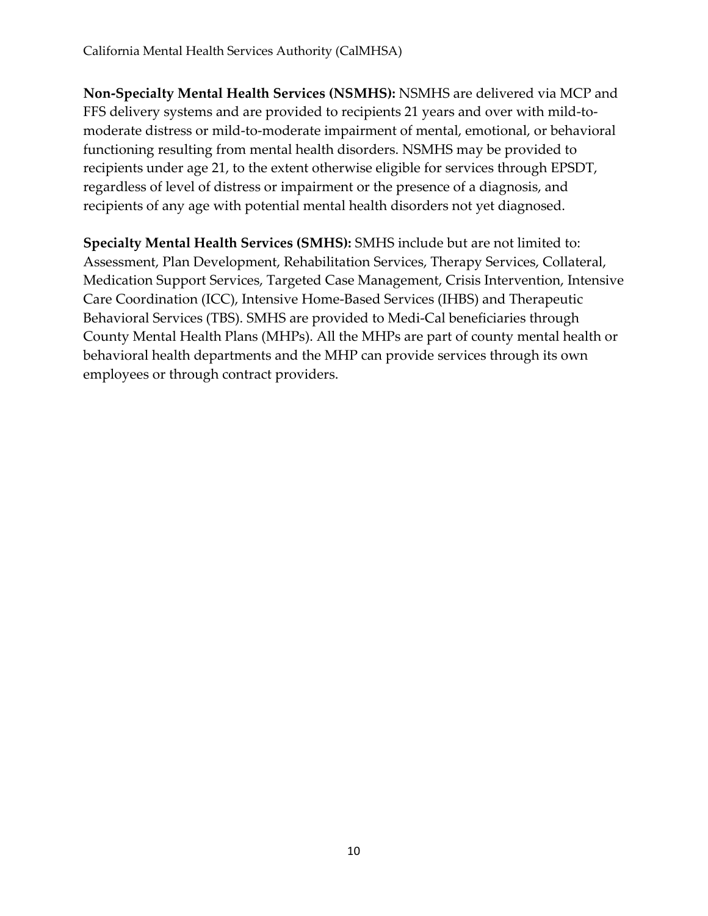**Non-Specialty Mental Health Services (NSMHS):** NSMHS are delivered via MCP and FFS delivery systems and are provided to recipients 21 years and over with mild-tomoderate distress or mild-to-moderate impairment of mental, emotional, or behavioral functioning resulting from mental health disorders. NSMHS may be provided to recipients under age 21, to the extent otherwise eligible for services through EPSDT, regardless of level of distress or impairment or the presence of a diagnosis, and recipients of any age with potential mental health disorders not yet diagnosed.

**Specialty Mental Health Services (SMHS):** SMHS include but are not limited to: Assessment, Plan Development, Rehabilitation Services, Therapy Services, Collateral, Medication Support Services, Targeted Case Management, Crisis Intervention, Intensive Care Coordination (ICC), Intensive Home-Based Services (IHBS) and Therapeutic Behavioral Services (TBS). SMHS are provided to Medi-Cal beneficiaries through County Mental Health Plans (MHPs). All the MHPs are part of county mental health or behavioral health departments and the MHP can provide services through its own employees or through contract providers.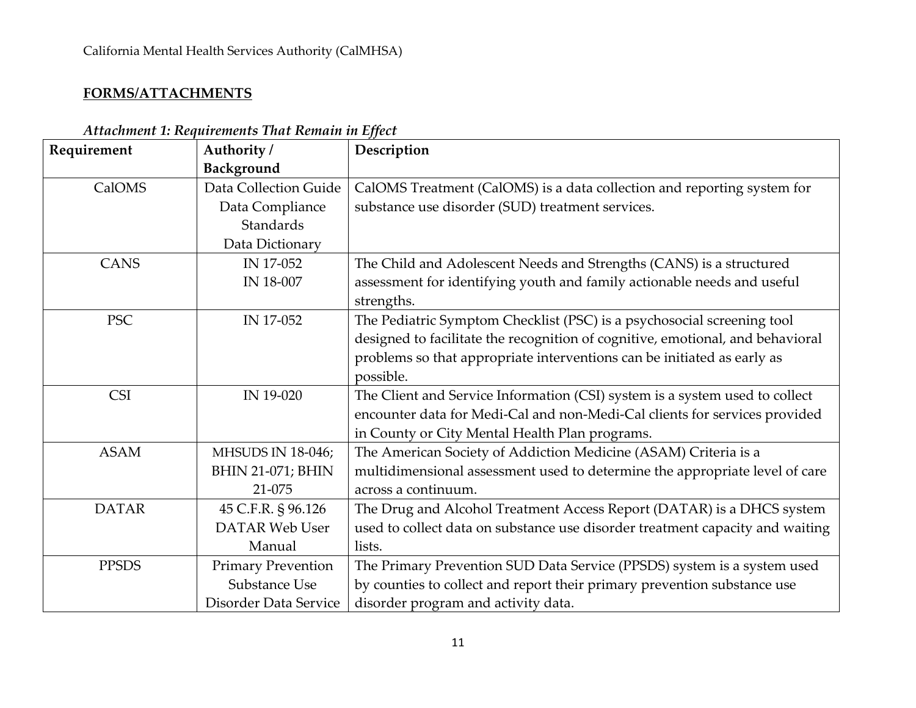#### **FORMS/ATTACHMENTS**

| Requirement  | Authority /               | Description                                                                    |
|--------------|---------------------------|--------------------------------------------------------------------------------|
|              | Background                |                                                                                |
| CalOMS       | Data Collection Guide     | CalOMS Treatment (CalOMS) is a data collection and reporting system for        |
|              | Data Compliance           | substance use disorder (SUD) treatment services.                               |
|              | Standards                 |                                                                                |
|              | Data Dictionary           |                                                                                |
| <b>CANS</b>  | IN 17-052                 | The Child and Adolescent Needs and Strengths (CANS) is a structured            |
|              | IN 18-007                 | assessment for identifying youth and family actionable needs and useful        |
|              |                           | strengths.                                                                     |
| <b>PSC</b>   | IN 17-052                 | The Pediatric Symptom Checklist (PSC) is a psychosocial screening tool         |
|              |                           | designed to facilitate the recognition of cognitive, emotional, and behavioral |
|              |                           | problems so that appropriate interventions can be initiated as early as        |
|              |                           | possible.                                                                      |
| <b>CSI</b>   | IN 19-020                 | The Client and Service Information (CSI) system is a system used to collect    |
|              |                           | encounter data for Medi-Cal and non-Medi-Cal clients for services provided     |
|              |                           | in County or City Mental Health Plan programs.                                 |
| <b>ASAM</b>  | <b>MHSUDS IN 18-046;</b>  | The American Society of Addiction Medicine (ASAM) Criteria is a                |
|              | <b>BHIN 21-071; BHIN</b>  | multidimensional assessment used to determine the appropriate level of care    |
|              | 21-075                    | across a continuum.                                                            |
| <b>DATAR</b> | 45 C.F.R. § 96.126        | The Drug and Alcohol Treatment Access Report (DATAR) is a DHCS system          |
|              | <b>DATAR Web User</b>     | used to collect data on substance use disorder treatment capacity and waiting  |
|              | Manual                    | lists.                                                                         |
| <b>PPSDS</b> | <b>Primary Prevention</b> | The Primary Prevention SUD Data Service (PPSDS) system is a system used        |
|              | Substance Use             | by counties to collect and report their primary prevention substance use       |
|              | Disorder Data Service     | disorder program and activity data.                                            |

*Attachment 1: Requirements That Remain in Effect*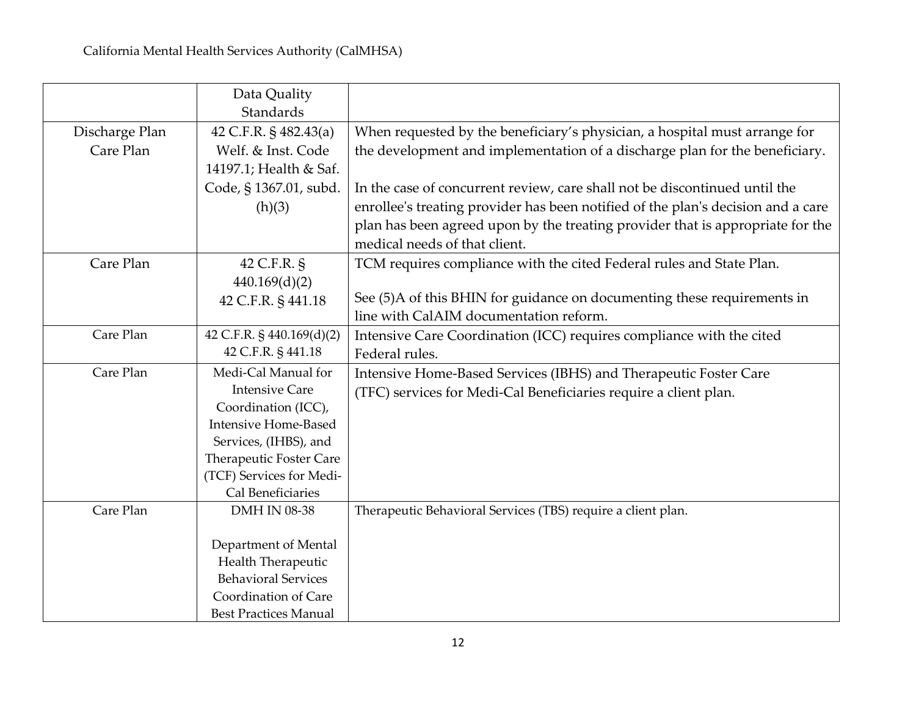|                | Data Quality<br><b>Standards</b>              |                                                                                  |
|----------------|-----------------------------------------------|----------------------------------------------------------------------------------|
| Discharge Plan | 42 C.F.R. § 482.43(a)                         | When requested by the beneficiary's physician, a hospital must arrange for       |
| Care Plan      | Welf. & Inst. Code                            | the development and implementation of a discharge plan for the beneficiary.      |
|                | 14197.1; Health & Saf.                        |                                                                                  |
|                | Code, § 1367.01, subd.                        | In the case of concurrent review, care shall not be discontinued until the       |
|                | (h)(3)                                        | enrollee's treating provider has been notified of the plan's decision and a care |
|                |                                               | plan has been agreed upon by the treating provider that is appropriate for the   |
|                |                                               | medical needs of that client.                                                    |
| Care Plan      | 42 C.F.R. §                                   | TCM requires compliance with the cited Federal rules and State Plan.             |
|                | 440.169(d)(2)                                 |                                                                                  |
|                | 42 C.F.R. § 441.18                            | See (5)A of this BHIN for guidance on documenting these requirements in          |
|                |                                               | line with CalAIM documentation reform.                                           |
| Care Plan      | 42 C.F.R. § 440.169(d)(2)                     | Intensive Care Coordination (ICC) requires compliance with the cited             |
|                | 42 C.F.R. § 441.18                            | Federal rules.                                                                   |
| Care Plan      | Medi-Cal Manual for                           | Intensive Home-Based Services (IBHS) and Therapeutic Foster Care                 |
|                | <b>Intensive Care</b>                         | (TFC) services for Medi-Cal Beneficiaries require a client plan.                 |
|                | Coordination (ICC),                           |                                                                                  |
|                | <b>Intensive Home-Based</b>                   |                                                                                  |
|                | Services, (IHBS), and                         |                                                                                  |
|                | Therapeutic Foster Care                       |                                                                                  |
|                | (TCF) Services for Medi-<br>Cal Beneficiaries |                                                                                  |
| Care Plan      | DMH IN 08-38                                  | Therapeutic Behavioral Services (TBS) require a client plan.                     |
|                |                                               |                                                                                  |
|                | Department of Mental                          |                                                                                  |
|                | Health Therapeutic                            |                                                                                  |
|                | <b>Behavioral Services</b>                    |                                                                                  |
|                | Coordination of Care                          |                                                                                  |
|                | <b>Best Practices Manual</b>                  |                                                                                  |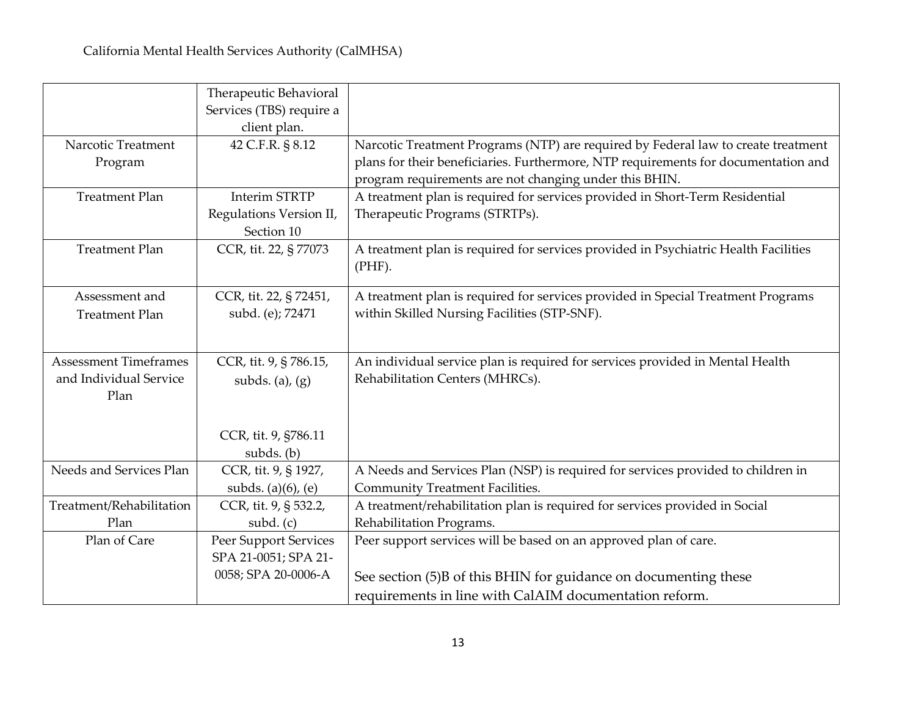|                              | Therapeutic Behavioral   |                                                                                     |
|------------------------------|--------------------------|-------------------------------------------------------------------------------------|
|                              | Services (TBS) require a |                                                                                     |
|                              | client plan.             |                                                                                     |
| Narcotic Treatment           | 42 C.F.R. § 8.12         | Narcotic Treatment Programs (NTP) are required by Federal law to create treatment   |
| Program                      |                          | plans for their beneficiaries. Furthermore, NTP requirements for documentation and  |
|                              |                          | program requirements are not changing under this BHIN.                              |
| <b>Treatment Plan</b>        | <b>Interim STRTP</b>     | A treatment plan is required for services provided in Short-Term Residential        |
|                              | Regulations Version II,  | Therapeutic Programs (STRTPs).                                                      |
|                              | Section 10               |                                                                                     |
| <b>Treatment Plan</b>        | CCR, tit. 22, § 77073    | A treatment plan is required for services provided in Psychiatric Health Facilities |
|                              |                          | $(PHF)$ .                                                                           |
|                              |                          |                                                                                     |
| Assessment and               | CCR, tit. 22, § 72451,   | A treatment plan is required for services provided in Special Treatment Programs    |
| <b>Treatment Plan</b>        | subd. (e); 72471         | within Skilled Nursing Facilities (STP-SNF).                                        |
|                              |                          |                                                                                     |
| <b>Assessment Timeframes</b> |                          |                                                                                     |
| and Individual Service       | CCR, tit. 9, § 786.15,   | An individual service plan is required for services provided in Mental Health       |
|                              | subds. (a), $(g)$        | Rehabilitation Centers (MHRCs).                                                     |
| Plan                         |                          |                                                                                     |
|                              |                          |                                                                                     |
|                              | CCR, tit. 9, §786.11     |                                                                                     |
|                              | subds. (b)               |                                                                                     |
| Needs and Services Plan      | CCR, tit. 9, § 1927,     | A Needs and Services Plan (NSP) is required for services provided to children in    |
|                              | subds. $(a)(6)$ , $(e)$  | <b>Community Treatment Facilities.</b>                                              |
| Treatment/Rehabilitation     | CCR, tit. 9, § 532.2,    | A treatment/rehabilitation plan is required for services provided in Social         |
| Plan                         | subd. $(c)$              | Rehabilitation Programs.                                                            |
| Plan of Care                 | Peer Support Services    | Peer support services will be based on an approved plan of care.                    |
|                              | SPA 21-0051; SPA 21-     |                                                                                     |
|                              | 0058; SPA 20-0006-A      | See section (5)B of this BHIN for guidance on documenting these                     |
|                              |                          | requirements in line with CalAIM documentation reform.                              |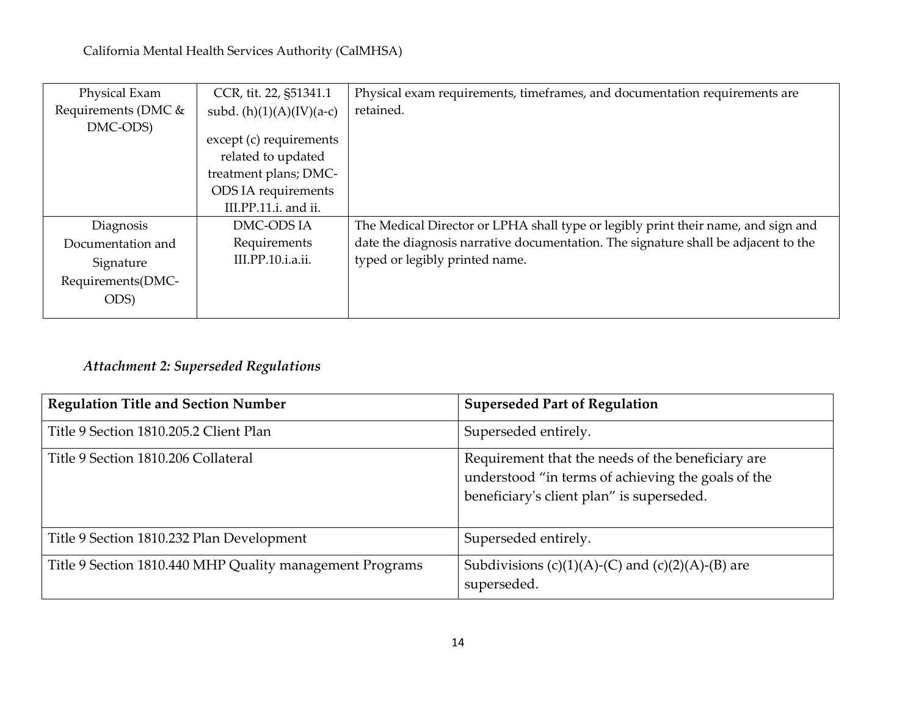| Physical Exam       | CCR, tit. 22, §51341.1     | Physical exam requirements, timeframes, and documentation requirements are         |
|---------------------|----------------------------|------------------------------------------------------------------------------------|
| Requirements (DMC & | subd. $(h)(1)(A)(IV)(a-c)$ | retained.                                                                          |
| DMC-ODS)            |                            |                                                                                    |
|                     | except (c) requirements    |                                                                                    |
|                     | related to updated         |                                                                                    |
|                     | treatment plans; DMC-      |                                                                                    |
|                     | ODS IA requirements        |                                                                                    |
|                     | III.PP.11.i. and ii.       |                                                                                    |
| Diagnosis           | DMC-ODS IA                 | The Medical Director or LPHA shall type or legibly print their name, and sign and  |
| Documentation and   | Requirements               | date the diagnosis narrative documentation. The signature shall be adjacent to the |
| Signature           | III.PP.10.i.a.ii.          | typed or legibly printed name.                                                     |
| Requirements(DMC-   |                            |                                                                                    |
| ODS)                |                            |                                                                                    |
|                     |                            |                                                                                    |

# *Attachment 2: Superseded Regulations*

| <b>Regulation Title and Section Number</b>               | <b>Superseded Part of Regulation</b>                                                                                                                 |
|----------------------------------------------------------|------------------------------------------------------------------------------------------------------------------------------------------------------|
| Title 9 Section 1810.205.2 Client Plan                   | Superseded entirely.                                                                                                                                 |
| Title 9 Section 1810.206 Collateral                      | Requirement that the needs of the beneficiary are<br>understood "in terms of achieving the goals of the<br>beneficiary's client plan" is superseded. |
| Title 9 Section 1810.232 Plan Development                | Superseded entirely.                                                                                                                                 |
| Title 9 Section 1810.440 MHP Quality management Programs | Subdivisions (c)(1)(A)-(C) and (c)(2)(A)-(B) are<br>superseded.                                                                                      |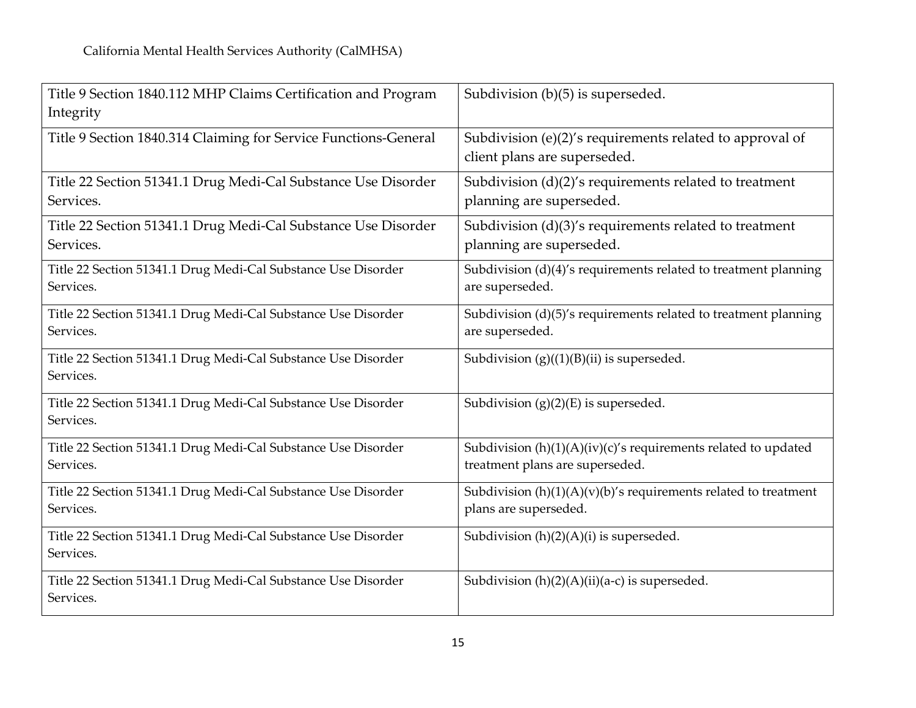| Subdivision (b)(5) is superseded.                                  |
|--------------------------------------------------------------------|
|                                                                    |
| Subdivision (e)(2)'s requirements related to approval of           |
| client plans are superseded.                                       |
| Subdivision $(d)(2)'s$ requirements related to treatment           |
| planning are superseded.                                           |
| Subdivision $(d)(3)'s$ requirements related to treatment           |
| planning are superseded.                                           |
| Subdivision (d)(4)'s requirements related to treatment planning    |
| are superseded.                                                    |
| Subdivision (d)(5)'s requirements related to treatment planning    |
| are superseded.                                                    |
| Subdivision $(g)((1)(B)(ii)$ is superseded.                        |
|                                                                    |
| Subdivision $(g)(2)(E)$ is superseded.                             |
|                                                                    |
| Subdivision $(h)(1)(A)(iv)(c)'s$ requirements related to updated   |
| treatment plans are superseded.                                    |
| Subdivision $(h)(1)(A)(v)(b)'$ s requirements related to treatment |
| plans are superseded.                                              |
| Subdivision (h)(2)(A)(i) is superseded.                            |
|                                                                    |
| Subdivision $(h)(2)(A)(ii)(a-c)$ is superseded.                    |
|                                                                    |
|                                                                    |